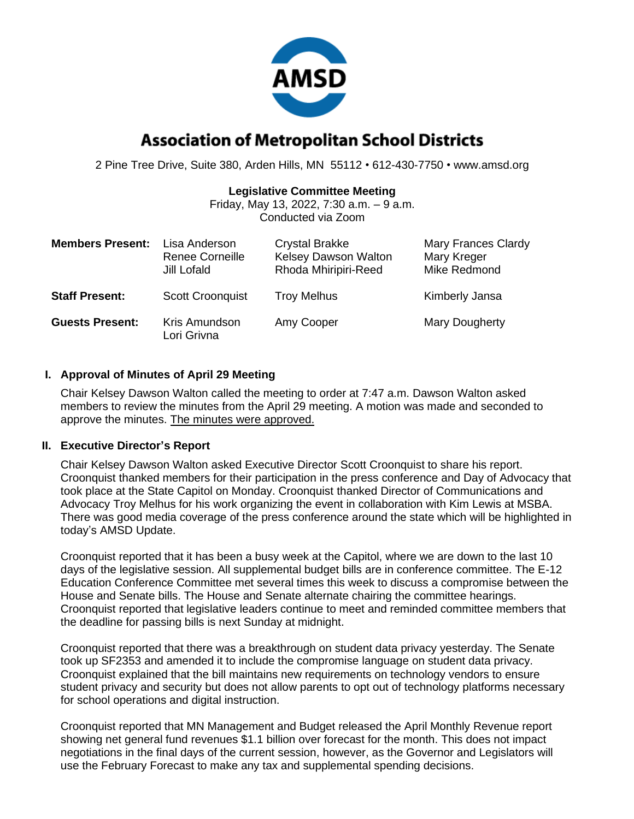

# **Association of Metropolitan School Districts**

2 Pine Tree Drive, Suite 380, Arden Hills, MN 55112 • 612-430-7750 • www.amsd.org

#### **Legislative Committee Meeting**

Friday, May 13, 2022, 7:30 a.m. – 9 a.m. Conducted via Zoom

| <b>Members Present:</b> | Lisa Anderson<br><b>Renee Corneille</b><br>Jill Lofald | <b>Crystal Brakke</b><br>Kelsey Dawson Walton<br>Rhoda Mhiripiri-Reed | <b>Mary Frances Clardy</b><br>Mary Kreger<br>Mike Redmond |
|-------------------------|--------------------------------------------------------|-----------------------------------------------------------------------|-----------------------------------------------------------|
| <b>Staff Present:</b>   | <b>Scott Croonquist</b>                                | <b>Troy Melhus</b>                                                    | Kimberly Jansa                                            |
| <b>Guests Present:</b>  | Kris Amundson<br>Lori Grivna                           | Amy Cooper                                                            | Mary Dougherty                                            |

## **I. Approval of Minutes of April 29 Meeting**

Chair Kelsey Dawson Walton called the meeting to order at 7:47 a.m. Dawson Walton asked members to review the minutes from the April 29 meeting. A motion was made and seconded to approve the minutes. The minutes were approved.

## **II. Executive Director's Report**

Chair Kelsey Dawson Walton asked Executive Director Scott Croonquist to share his report. Croonquist thanked members for their participation in the press conference and Day of Advocacy that took place at the State Capitol on Monday. Croonquist thanked Director of Communications and Advocacy Troy Melhus for his work organizing the event in collaboration with Kim Lewis at MSBA. There was good media coverage of the press conference around the state which will be highlighted in today's AMSD Update.

Croonquist reported that it has been a busy week at the Capitol, where we are down to the last 10 days of the legislative session. All supplemental budget bills are in conference committee. The E-12 Education Conference Committee met several times this week to discuss a compromise between the House and Senate bills. The House and Senate alternate chairing the committee hearings. Croonquist reported that legislative leaders continue to meet and reminded committee members that the deadline for passing bills is next Sunday at midnight.

Croonquist reported that there was a breakthrough on student data privacy yesterday. The Senate took up SF2353 and amended it to include the compromise language on student data privacy. Croonquist explained that the bill maintains new requirements on technology vendors to ensure student privacy and security but does not allow parents to opt out of technology platforms necessary for school operations and digital instruction.

Croonquist reported that MN Management and Budget released the April Monthly Revenue report showing net general fund revenues \$1.1 billion over forecast for the month. This does not impact negotiations in the final days of the current session, however, as the Governor and Legislators will use the February Forecast to make any tax and supplemental spending decisions.